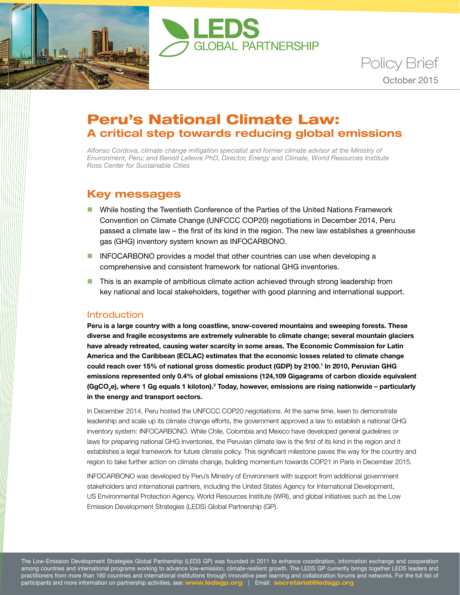



Policy Brief October 2015

# Peru's National Climate Law: **A critical step towards reducing global emissions**

*Alfonso Cordova, climate change mitigation specialist and former climate advisor at the Ministry of Environment, Peru; and Benoit Lefevre PhD, Director, Energy and Climate, World Resources Institute Ross Center for Sustainable Cities*

## **Key messages**

- **n** While hosting the Twentieth Conference of the Parties of the United Nations Framework Convention on Climate Change (UNFCCC COP20) negotiations in December 2014, Peru passed a climate law – the first of its kind in the region. The new law establishes a greenhouse gas (GHG) inventory system known as INFOCARBONO.
- **n** INFOCARBONO provides a model that other countries can use when developing a comprehensive and consistent framework for national GHG inventories.
- **n** This is an example of ambitious climate action achieved through strong leadership from key national and local stakeholders, together with good planning and international support.

#### **Introduction**

**Peru is a large country with a long coastline, snow-covered mountains and sweeping forests. These diverse and fragile ecosystems are extremely vulnerable to climate change; several mountain glaciers have already retreated, causing water scarcity in some areas. The Economic Commission for Latin America and the Caribbean (ECLAC) estimates that the economic losses related to climate change could reach over 15% of national gross domestic product (GDP) by 2100.1 In 2010, Peruvian GHG emissions represented only 0.4% of global emissions (124,109 Gigagrams of carbon dioxide equivalent**  (GgCO<sub>2</sub>e), where 1 Gg equals 1 kiloton).<sup>2</sup> Today, however, emissions are rising nationwide – particularly **in the energy and transport sectors.**

In December 2014, Peru hosted the UNFCCC COP20 negotiations. At the same time, keen to demonstrate leadership and scale up its climate change efforts, the government approved a law to establish a national GHG inventory system: INFOCARBONO. While Chile, Colombia and Mexico have developed general guidelines or laws for preparing national GHG inventories, the Peruvian climate law is the first of its kind in the region and it establishes a legal framework for future climate policy. This significant milestone paves the way for the country and region to take further action on climate change, building momentum towards COP21 in Paris in December 2015.

INFOCARBONO was developed by Peru's Ministry of Environment with support from additional government stakeholders and international partners, including the United States Agency for International Development, US Environmental Protection Agency, World Resources Institute (WRI), and global initiatives such as the Low Emission Development Strategies (LEDS) Global Partnership (GP).

The Low-Emission Development Strategies Global Partnership (LEDS GP) was founded in 2011 to enhance coordination, information exchange and cooperation among countries and international programs working to advance low-emission, climate-resilient growth. The LEDS GP currently brings together LEDS leaders and practitioners from more than 160 countries and international institutions through innovative peer learning and collaboration forums and networks. For the full list of participants and more information on partnership activities, see: www.ledsgp.org | Email: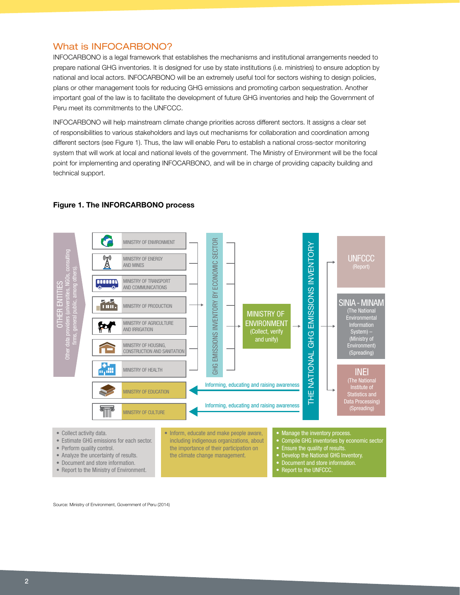## What is INFOCARBONO?

INFOCARBONO is a legal framework that establishes the mechanisms and institutional arrangements needed to prepare national GHG inventories. It is designed for use by state institutions (i.e. ministries) to ensure adoption by national and local actors. INFOCARBONO will be an extremely useful tool for sectors wishing to design policies, plans or other management tools for reducing GHG emissions and promoting carbon sequestration. Another important goal of the law is to facilitate the development of future GHG inventories and help the Government of Peru meet its commitments to the UNFCCC.

INFOCARBONO will help mainstream climate change priorities across different sectors. It assigns a clear set of responsibilities to various stakeholders and lays out mechanisms for collaboration and coordination among different sectors (see Figure 1). Thus, the law will enable Peru to establish a national cross-sector monitoring system that will work at local and national levels of the government. The Ministry of Environment will be the focal point for implementing and operating INFOCARBONO, and will be in charge of providing capacity building and technical support.



#### International process **Figure 1. The INFORCARBONO process**

Source: Ministry of Environment, Government of Peru (2014)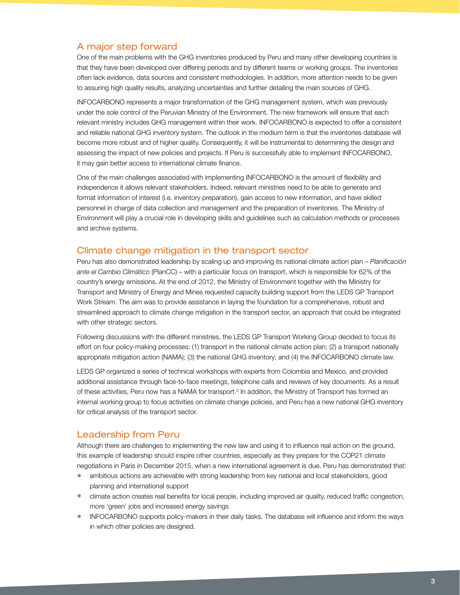### A major step forward

One of the main problems with the GHG inventories produced by Peru and many other developing countries is that they have been developed over differing periods and by different teams or working groups. The inventories often lack evidence, data sources and consistent methodologies. In addition, more attention needs to be given to assuring high quality results, analyzing uncertainties and further detailing the main sources of GHG.

INFOCARBONO represents a major transformation of the GHG management system, which was previously under the sole control of the Peruvian Ministry of the Environment. The new framework will ensure that each relevant ministry includes GHG management within their work. INFOCARBONO is expected to offer a consistent and reliable national GHG inventory system. The outlook in the medium term is that the inventories database will become more robust and of higher quality. Consequently, it will be instrumental to determining the design and assessing the impact of new policies and projects. If Peru is successfully able to implement INFOCARBONO, it may gain better access to international climate finance.

One of the main challenges associated with implementing INFOCARBONO is the amount of flexibility and independence it allows relevant stakeholders. Indeed, relevant ministries need to be able to generate and format information of interest (i.e. inventory preparation), gain access to new information, and have skilled personnel in charge of data collection and management and the preparation of inventories. The Ministry of Environment will play a crucial role in developing skills and guidelines such as calculation methods or processes and archive systems.

#### Climate change mitigation in the transport sector

Peru has also demonstrated leadership by scaling up and improving its national climate action plan – *Planificación ante el Cambio Climático* (PlanCC) – with a particular focus on transport, which is responsible for 62% of the country's energy emissions. At the end of 2012, the Ministry of Environment together with the Ministry for Transport and Ministry of Energy and Mines requested capacity building support from the LEDS GP Transport Work Stream. The aim was to provide assistance in laying the foundation for a comprehensive, robust and streamlined approach to climate change mitigation in the transport sector, an approach that could be integrated with other strategic sectors.

Following discussions with the different ministries, the LEDS GP Transport Working Group decided to focus its effort on four policy-making processes: (1) transport in the national climate action plan; (2) a transport nationally appropriate mitigation action (NAMA); (3) the national GHG inventory; and (4) the INFOCARBONO climate law.

LEDS GP organized a series of technical workshops with experts from Colombia and Mexico, and provided additional assistance through face-to-face meetings, telephone calls and reviews of key documents. As a result of these activities, Peru now has a NAMA for transport.<sup>3</sup> In addition, the Ministry of Transport has formed an internal working group to focus activities on climate change policies, and Peru has a new national GHG inventory for critical analysis of the transport sector.

#### Leadership from Peru

Although there are challenges to implementing the new law and using it to influence real action on the ground, this example of leadership should inspire other countries, especially as they prepare for the COP21 climate negotiations in Paris in December 2015, when a new international agreement is due. Peru has demonstrated that:

- ambitious actions are achievable with strong leadership from key national and local stakeholders, good planning and international support
- climate action creates real benefits for local people, including improved air quality, reduced traffic congestion, more 'green' jobs and increased energy savings
- INFOCARBONO supports policy-makers in their daily tasks. The database will influence and inform the ways in which other policies are designed.